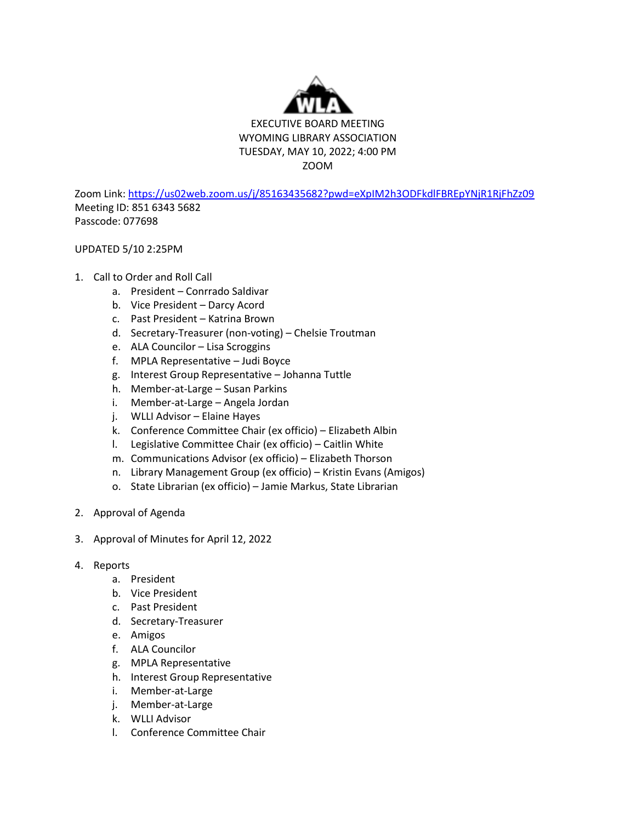

Zoom Link[: https://us02web.zoom.us/j/85163435682?pwd=eXpIM2h3ODFkdlFBREpYNjR1RjFhZz09](https://us02web.zoom.us/j/85163435682?pwd=eXpIM2h3ODFkdlFBREpYNjR1RjFhZz09) Meeting ID: 851 6343 5682 Passcode: 077698

## UPDATED 5/10 2:25PM

## 1. Call to Order and Roll Call

- a. President Conrrado Saldivar
- b. Vice President Darcy Acord
- c. Past President Katrina Brown
- d. Secretary-Treasurer (non-voting) Chelsie Troutman
- e. ALA Councilor Lisa Scroggins
- f. MPLA Representative Judi Boyce
- g. Interest Group Representative Johanna Tuttle
- h. Member-at-Large Susan Parkins
- i. Member-at-Large Angela Jordan
- j. WLLI Advisor Elaine Hayes
- k. Conference Committee Chair (ex officio) Elizabeth Albin
- l. Legislative Committee Chair (ex officio) Caitlin White
- m. Communications Advisor (ex officio) Elizabeth Thorson
- n. Library Management Group (ex officio) Kristin Evans (Amigos)
- o. State Librarian (ex officio) Jamie Markus, State Librarian
- 2. Approval of Agenda
- 3. Approval of Minutes for April 12, 2022
- 4. Reports
	- a. President
	- b. Vice President
	- c. Past President
	- d. Secretary-Treasurer
	- e. Amigos
	- f. ALA Councilor
	- g. MPLA Representative
	- h. Interest Group Representative
	- i. Member-at-Large
	- j. Member-at-Large
	- k. WLLI Advisor
	- l. Conference Committee Chair